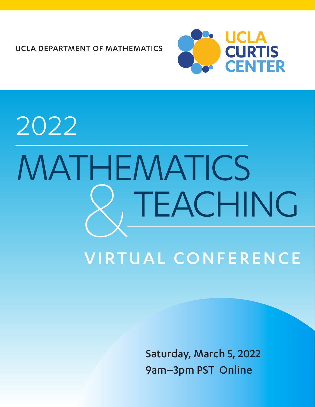UCLA DEPARTMENT OF MATHEMATICS



## TEACHING 2022 MATHEMATICS **ACCO** VIRTUAL CONFERENCE

Saturday, March 5, 2022 9am–3pm PST Online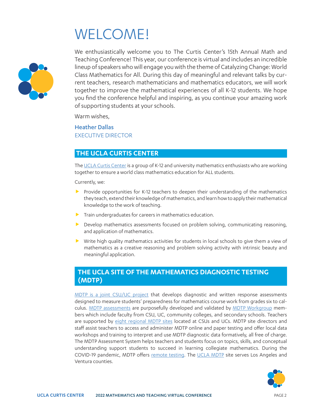## WELCOME!



We enthusiastically welcome you to The Curtis Center's 15th Annual Math and Teaching Conference! This year, our conference is virtual and includes an incredible lineup of speakers who will engage you with the theme of Catalyzing Change: World Class Mathematics for All. During this day of meaningful and relevant talks by current teachers, research mathematicians and mathematics educators, we will work together to improve the mathematical experiences of all K-12 students. We hope you find the conference helpful and inspiring, as you continue your amazing work of supporting students at your schools.

Warm wishes,

Heather Dallas EXECUTIVE DIRECTOR

#### **THE UCLA CURTIS CENTER**

The [UCLA Curtis Center](https://curtiscenter.math.ucla.edu/) is a group of K-12 and university mathematics enthusiasts who are working together to ensure a world class mathematics education for ALL students.

Currently, we:

- **F** Provide opportunities for K-12 teachers to deepen their understanding of the mathematics they teach, extend their knowledge of mathematics, and learn how to apply their mathematical knowledge to the work of teaching.
- $\blacktriangleright$  Train undergraduates for careers in mathematics education.
- $\blacktriangleright$  Develop mathematics assessments focused on problem solving, communicating reasoning, and application of mathematics.
- $\triangleright$  Write high quality mathematics activities for students in local schools to give them a view of mathematics as a creative reasoning and problem solving activity with intrinsic beauty and meaningful application.

#### **THE UCLA SITE OF THE MATHEMATICS DIAGNOSTIC TESTING (MDTP)**

[MDTP is a joint CSU/UC project](https://mdtp.ucsd.edu/) that develops diagnostic and written response assessments designed to measure students' preparedness for mathematics course work from grades six to cal-culus. [MDTP assessments](https://mdtp.ucsd.edu/assessments/index.html) are purposefully developed and validated by [MDTP Workgroup](https://mdtp.ucsd.edu/about/workgroup/index.html) members which include faculty from CSU, UC, community colleges, and secondary schools. Teachers are supported by [eight regional MDTP sites](https://mdtp.ucsd.edu/regional-sites/index.html) located at CSUs and UCs. MDTP site directors and staff assist teachers to access and administer MDTP online and paper testing and offer local data workshops and training to interpret and use MDTP diagnostic data formatively, all free of charge. The MDTP Assessment System helps teachers and students focus on topics, skills, and conceptual understanding support students to succeed in learning collegiate mathematics. During the COVID-19 pandemic, MDTP offers [remote testing](https://mdtp.ucsd.edu/online-testing/Remote%20Testing.html). The [UCLA MDTP](https://mdtp.ucsd.edu/regional-sites/Los%20Angeles.html) site serves Los Angeles and Ventura counties.

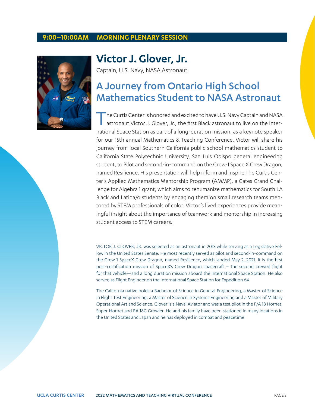#### **9:00–10:00AM MORNING PLENARY SESSION**



### **Victor J. Glover, Jr.**

Captain, U.S. Navy, NASA Astronaut

## A Journey from Ontario High School Mathematics Student to NASA Astronaut

The Curtis Center is honored and excited to have U.S. Navy Captain and NASA astronaut Victor J. Glover, Jr., the first Black astronaut to live on the International Space Station as part of a long-duration mission, as a keynote speaker for our 15th annual Mathematics & Teaching Conference. Victor will share his journey from local Southern California public school mathematics student to California State Polytechnic University, San Luis Obispo general engineering student, to Pilot and second-in-command on the Crew-1 Space X Crew Dragon, named Resilience. His presentation will help inform and inspire The Curtis Center's Applied Mathematics Mentorship Program (AMMP), a Gates Grand Challenge for Algebra 1 grant, which aims to rehumanize mathematics for South LA Black and Latina/o students by engaging them on small research teams mentored by STEM professionals of color. Victor's lived experiences provide meaningful insight about the importance of teamwork and mentorship in increasing student access to STEM careers.

VICTOR J. GLOVER, JR. was selected as an astronaut in 2013 while serving as a Legislative Fellow in the United States Senate. He most recently served as pilot and second-in-command on the Crew-1 SpaceX Crew Dragon, named Resilience, which landed May 2, 2021. It is the first post-certification mission of SpaceX's Crew Dragon spacecraft – the second crewed flight for that vehicle—and a long duration mission aboard the International Space Station. He also served as Flight Engineer on the International Space Station for Expedition 64.

The California native holds a Bachelor of Science in General Engineering, a Master of Science in Flight Test Engineering, a Master of Science in Systems Engineering and a Master of Military Operational Art and Science. Glover is a Naval Aviator and was a test pilot in the F/A 18 Hornet, Super Hornet and EA 18G Growler. He and his family have been stationed in many locations in the United States and Japan and he has deployed in combat and peacetime.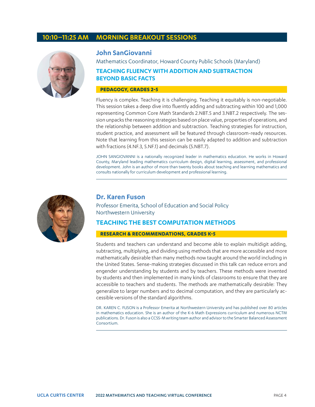#### **10:10–11:25 AM MORNING BREAKOUT SESSIONS**



#### **John SanGiovanni**

Mathematics Coordinator, Howard County Public Schools (Maryland)

#### **TEACHING FLUENCY WITH ADDITION AND SUBTRACTION BEYOND BASIC FACTS**

#### **PEDAGOGY, GRADES 2-5**

Fluency is complex. Teaching it is challenging. Teaching it equitably is non-negotiable. This session takes a deep dive into fluently adding and subtracting within 100 and 1,000 representing Common Core Math Standards 2.NBT.5 and 3.NBT.2 respectively. The session unpacks the reasoning strategies based on place value, properties of operations, and the relationship between addition and subtraction. Teaching strategies for instruction, student practice, and assessment will be featured through classroom-ready resources. Note that learning from this session can be easily adapted to addition and subtraction with fractions (4.NF.3, 5.NF.1) and decimals (5.NBT.7).

JOHN SANGIOVANNI is a nationally recognized leader in mathematics education. He works in Howard County, Maryland leading mathematics curriculum design, digital learning, assessment, and professional development. John is an author of more than twenty books about teaching and learning mathematics and consults nationally for curriculum development and professional learning.



#### **Dr. Karen Fuson**

Professor Emerita, School of Education and Social Policy Northwestern University

#### **TEACHING THE BEST COMPUTATION METHODS**

#### **RESEARCH & RECOMMENDATIONS, GRADES K-5**

Students and teachers can understand and become able to explain multidigit adding, subtracting, multiplying, and dividing using methods that are more accessible and more mathematically desirable than many methods now taught around the world including in the United States. Sense-making strategies discussed in this talk can reduce errors and engender understanding by students and by teachers. These methods were invented by students and then implemented in many kinds of classrooms to ensure that they are accessible to teachers and students. The methods are mathematically desirable: They generalize to larger numbers and to decimal computation, and they are particularly accessible versions of the standard algorithms.

DR. KAREN C. FUSON is a Professor Emerita at Northwestern University and has published over 80 articles in mathematics education. She is an author of the K-6 Math Expressions curriculum and numerous NCTM publications. Dr. Fuson is also a CCSS-M writing team author and advisor to the Smarter Balanced Assessment Consortium.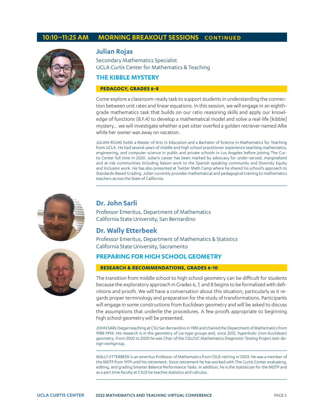#### **10:10–11:25 AM MORNING BREAKOUT SESSIONS CONTINUED**



#### **Julian Rojas**

Secondary Mathematics Specialist UCLA Curtis Center for Mathematics & Teaching

#### **THE KIBBLE MYSTERY**

#### **PEDAGOGY, GRADES 6-8**

Come explore a classroom-ready task to support students in understanding the connection between unit rates and linear equations. In this session, we will engage in an eighthgrade mathematics task that builds on our ratio reasoning skills and apply our knowledge of functions (8.F.4) to develop a mathematical model and solve a real-life [kibble] mystery… we will investigate whether a pet sitter overfed a golden retriever named Allie while her owner was away on vacation.

JULIAN ROJAS holds a Master of Arts in Education and a Bachelor of Science in Mathematics for Teaching from UCLA. He had several years of middle and high school practitioner experience teaching mathematics, engineering, and computer science in public and private schools in Los Angeles before joining The Curtis Center full time in 2020. Julian's career has been marked by advocacy for under-served, marginalized and at-risk communities including liaison work to the Spanish speaking community and Diversity Equity and Inclusion work. He has also presented at Twitter Math Camp where he shared his school's approach to Standards-Based Grading. Julian currently provides mathematical and pedagogical training to mathematics teachers across the State of California.



#### **Dr. John Sarli**

Professor Emeritus, Department of Mathematics California State University, San Bernardino

#### **Dr. Wally Etterbeek**

Professor Emeritus, Department of Mathematics & Statistics California State University, Sacramento

#### **PREPARING FOR HIGH SCHOOL GEOMETRY**

#### **RESEARCH & RECOMMENDATIONS, GRADES 6-10**

The transition from middle school to high school geometry can be difficult for students because the exploratory approach in Grades 6, 7, and 8 begins to be formalized with definitions and proofs. We will have a conversation about this situation, particularly as it regards proper terminology and preparation for the study of transformations. Participants will engage in some constructions from Euclidean geometry and will be asked to discuss the assumptions that underlie the procedures. A few proofs appropriate to beginning high school geometry will be presented.

JOHN SARLI began teaching at CSU San Bernardino in 1983 and chaired the Department of Mathematics from 1988-1994. His research is in the geometry of Lie-type groups and, since 2012, hyperbolic (non-Euclidean) geometry. From 2002 to 2020 he was Chair of the CSU/UC Mathematics Diagnostic Testing Project test-design workgroup.

WALLY ETTERBEEK is an emeritus Professor of Mathematics from CSUS retiring in 2003. He was a member of the MDTP from 1979 until his retirement. Since retirement he has worked with The Curtis Center evaluating, editing, and grading Smarter Balance Performance Tasks. In addition, he is the statistician for the MDTP and as a part time faculty at CSUS he teaches statistics and calculus.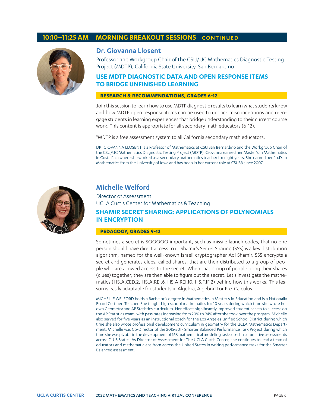#### **10:10–11:25 AM MORNING BREAKOUT SESSIONS CONTINUED**



#### **Dr. Giovanna Llosent**

Professor and Workgroup Chair of the CSU/UC Mathematics Diagnostic Testing Project (MDTP), California State University, San Bernardino

#### **USE MDTP DIAGNOSTIC DATA AND OPEN RESPONSE ITEMS TO BRIDGE UNFINISHED LEARNING**

#### **RESEARCH & RECOMMENDATIONS, GRADES 6-12**

Join this session to learn how to use MDTP diagnostic results to learn what students know and how MDTP open response items can be used to unpack misconceptions and reengage students in learning experiences that bridge understanding to their current course work. This content is appropriate for all secondary math educators (6-12).

\*MDTP is a free assessment system to all California secondary math educators.

DR. GIOVANNA LLOSENT is a Professor of Mathematics at CSU San Bernardino and the Workgroup Chair of the CSU/UC Mathematics Diagnostic Testing Project (MDTP). Giovanna earned her Master's in Mathematics in Costa Rica where she worked as a secondary mathematics teacher for eight years. She earned her Ph.D. in Mathematics from the University of Iowa and has been in her current role at CSUSB since 2007.



#### **Michelle Welford**

Director of Assessment UCLA Curtis Center for Mathematics & Teaching **SHAMIR SECRET SHARING: APPLICATIONS OF POLYNOMIALS IN ENCRYPTION**

#### **PEDAGOGY, GRADES 9-12**

Sometimes a secret is SOOOOO important, such as missile launch codes, that no one person should have direct access to it. Shamir's Secret Sharing (SSS) is a key distribution algorithm, named for the well-known Israeli cryptographer Adi Shamir. SSS encrypts a secret and generates clues, called shares, that are then distributed to a group of people who are allowed access to the secret. When that group of people bring their shares (clues) together, they are then able to figure out the secret. Let's investigate the mathematics (HS.A.CED.2, HS.A.REI.6, HS.A.REI.10, HS.F.IF.2) behind how this works! This lesson is easily adaptable for students in Algebra, Algebra II or Pre-Calculus.

MICHELLE WELFORD holds a Bachelor's degree in Mathematics, a Master's in Education and is a Nationally Board Certified Teacher. She taught high school mathematics for 10 years during which time she wrote her own Geometry and AP Statistics curriculum. Her efforts significantly improved student access to success on the AP Statistics exam, with pass rates increasing from 20% to 94% after she took over the program. Michelle also served for five years as an instructional coach for the Los Angeles Unified School District during which time she also wrote professional development curriculum in geometry for the UCLA Mathematics Department. Michelle was Co-Director of the 2015-2017 Smarter Balanced Performance Task Project during which time she was pivotal in the development of 168 mathematical modeling tasks used in summative assessments across 21 US States. As Director of Assessment for The UCLA Curtis Center, she continues to lead a team of educators and mathematicians from across the United States in writing performance tasks for the Smarter Balanced assessment.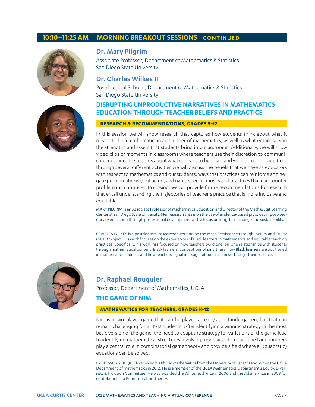#### **10:10–11:25 AM MORNING BREAKOUT SESSIONS CONTINUED**



#### **Dr. Mary Pilgrim**

Associate Professor, Department of Mathematics & Statistics San Diego State University

#### **Dr. Charles Wilkes II**

Postdoctoral Scholar, Department of Mathematics & Statistics San Diego State University

#### **DISRUPTING UNPRODUCTIVE NARRATIVES IN MATHEMATICS EDUCATION THROUGH TEACHER BELIEFS AND PRACTICE**

#### **RESEARCH & RECOMMENDATIONS, GRADES 9-12**

In this session we will show research that captures how students think about what it means to be a mathematician and a doer of mathematics, as well as what entails seeing the strengths and assets that students bring into classrooms. Additionally, we will show video clips of moments in classrooms where teachers use their discretion to communicate messages to students about what it means to be smart and who is smart. In addition, through several different activities we will discuss the beliefs that we have as educators with respect to mathematics and our students, ways that practices can reinforce and negate problematic ways of being, and name specific moves and practices that can counter problematic narratives. In closing, we will provide future recommendations for research that entail understanding the trajectories of teacher's practice that is more inclusive and equitable.

MARY PILGRIM is an Associate Professor of Mathematics Education and Director of the Math & Stat Learning Center at San Diego State University. Her research area is on the use of evidence-based practices in post-secondary education through professional development with a focus on long-term change and sustainability.

CHARLES WILKES is a postdoctoral researcher working on the Math Persistence through Inquiry and Equity (MPIE) project. His work focuses on the experiences of Black learners in mathematics and equitable teaching practices. Specifically, his work has focused on how teachers build one-on-one relationships with students through mathematical content, Black learners' conceptions of smartness, how Black learners are positioned in mathematics courses, and how teachers signal messages about smartness through their practice.



#### **Dr. Raphael Rouquier**

Professor, Department of Mathematics, UCLA

#### **THE GAME OF NIM**

#### **MATHEMATICS FOR TEACHERS, GRADES K-12**

Nim is a two-player game that can be played as early as in Kindergarten, but that can remain challenging for all K-12 students. After identifying a winning strategy in the most basic version of the game, the need to adapt the strategy for variations of the game lead to identifying mathematical structures involving modular arithmetic. The Nim numbers play a central role in combinatorial game theory and provide a field where all (quadratic) equations can be solved.

PROFESSOR ROUQUIER received his PhD in mathematics from the University of Paris VII and joined the UCLA Department of Mathematics in 2012. He is a member of the UCLA Mathematics Department's Equity, Diversity, & Inclusion Committee. He was awarded the Whitehead Prize in 2006 and the Adams Prize in 2009 for contributions to Representation Theory.

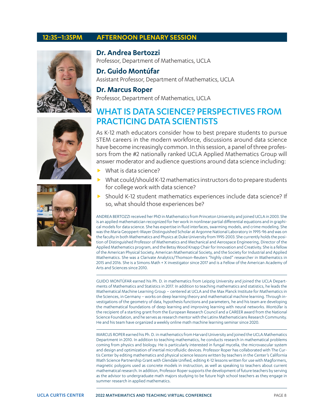#### **12:35–1:35PM AFTERNOON PLENARY SESSION**







**Dr. Andrea Bertozzi** Professor, Department of Mathematics, UCLA

**Dr. Guido Montúfar** Assistant Professor, Department of Mathematics, UCLA

#### **Dr. Marcus Roper**

Professor, Department of Mathematics, UCLA

### WHAT IS DATA SCIENCE? PERSPECTIVES FROM PRACTICING DATA SCIENTISTS

As K-12 math educators consider how to best prepare students to pursue STEM careers in the modern workforce, discussions around data science have become increasingly common. In this session, a panel of three professors from the #2 nationally ranked UCLA Applied Mathematics Group will answer moderator and audience questions around data science including:

- What is data science?
- What could/should K-12 mathematics instructors do to prepare students for college work with data science?
- **F** Should K-12 student mathematics experiences include data science? If so, what should those experiences be?

ANDREA BERTOZZI received her PhD in Mathematics from Princeton University and joined UCLA in 2003. She is an applied mathematician recognized for her work in nonlinear partial differential equations and in graphical models for data science. She has expertise in fluid interfaces, swarming models, and crime modeling. She was the Maria Geoppert-Mayer Distinguished Scholar at Argonne National Laboratory in 1995-96 and was on the faculty in both Mathematics and Physics at Duke University from 1995-2003. She currently holds the position of Distinguished Professor of Mathematics and Mechanical and Aerospace Engineering, Director of the Applied Mathematics program, and the Betsy Wood Knapp Chair for Innovation and Creativity. She is a fellow of the American Physical Society, American Mathematical Society, and the Society for Industrial and Applied Mathematics. She was a Clarivate Analytics/Thomson-Reuters "highly cited" researcher in Mathematics in 2015 and 2016. She is a Simons Math + X investigator since 2017 and is a Fellow of the American Academy of Arts and Sciences since 2010.

GUIDO MONTÚFAR earned his Ph. D. in mathematics from Leipzig University and joined the UCLA Departments of Mathematics and Statistics in 2017. In addition to teaching mathematics and statistics, he leads the Mathematical Machine Learning Group – centered at UCLA and the Max Planck Institute for Mathematics in the Sciences, in Germany – works on deep learning theory and mathematical machine learning. Through investigations of the geometry of data, hypothesis functions and parameters, he and his team are developing the mathematical foundations of deep learning and improving learning with neural networks. Montúfar is the recipient of a starting grant from the European Research Council and a CAREER award from the National Science Foundation, and he serves as research mentor with the Latinx Mathematicians Research Community. He and his team have organized a weekly online math machine learning seminar since 2020.

MARCUS ROPER earned his Ph. D. in mathematics from Harvard University and joined the UCLA Mathematics Department in 2010. In addition to teaching mathematics, he conducts research in mathematical problems coming from physics and biology. He is particularly interested in fungal mycelia, the microvascular system and design and optimization of inertial microfluidic devices. Professor Roper has collaborated with The Curtis Center by editing mathematics and physical science lessons written by teachers in the Center's California Math Science Partnership Grant with Glendale Unified, editing K-12 lessons written for use with Magformers, magnetic polygons used as concrete models in instruction, as well as speaking to teachers about current mathematical research. In addition, Professor Roper supports the development of future teachers by serving as the advisor to undergraduate math majors studying to be future high school teachers as they engage in summer research in applied mathematics.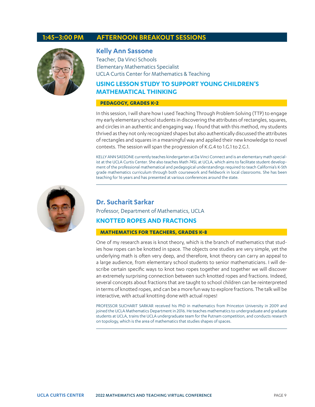#### **1:45–3:00 PM AFTERNOON BREAKOUT SESSIONS**



#### **Kelly Ann Sassone**

Teacher, Da Vinci Schools Elementary Mathematics Specialist UCLA Curtis Center for Mathematics & Teaching

#### **USING LESSON STUDY TO SUPPORT YOUNG CHILDREN'S MATHEMATICAL THINKING**

#### **PEDAGOGY, GRADES K-2**

In this session, I will share how I used Teaching Through Problem Solving (TTP) to engage my early elementary school students in discovering the attributes of rectangles, squares, and circles in an authentic and engaging way. I found that with this method, my students thrived as they not only recognized shapes but also authentically discussed the attributes of rectangles and squares in a meaningful way and applied their new knowledge to novel contexts. The session will span the progression of K.G.4 to 1.G.1 to 2.G.1.

KELLY ANN SASSONE currently teaches kindergarten at Da Vinci Connect and is an elementary math specialist at the UCLA Curtis Center. She also teaches Math 74SL at UCLA, which aims to facilitate student development of the professional mathematical and pedagogical understandings required to teach California's K-5th grade mathematics curriculum through both coursework and fieldwork in local classrooms. She has been teaching for 16 years and has presented at various conferences around the state.



#### **Dr. Sucharit Sarkar**

Professor, Department of Mathematics, UCLA

#### **KNOTTED ROPES AND FRACTIONS**

#### **MATHEMATICS FOR TEACHERS, GRADES K-8**

One of my research areas is knot theory, which is the branch of mathematics that studies how ropes can be knotted in space. The objects one studies are very simple, yet the underlying math is often very deep, and therefore, knot theory can carry an appeal to a large audience, from elementary school students to senior mathematicians. I will describe certain specific ways to knot two ropes together and together we will discover an extremely surprising connection between such knotted ropes and fractions. Indeed, several concepts about fractions that are taught to school children can be reinterpreted in terms of knotted ropes, and can be a more fun way to explore fractions. The talk will be interactive, with actual knotting done with actual ropes!

PROFESSOR SUCHARIT SARKAR received his PhD in mathematics from Princeton University in 2009 and joined the UCLA Mathematics Department in 2016. He teaches mathematics to undergraduate and graduate students at UCLA, trains the UCLA undergraduate team for the Putnam competition, and conducts research on topology, which is the area of mathematics that studies shapes of spaces.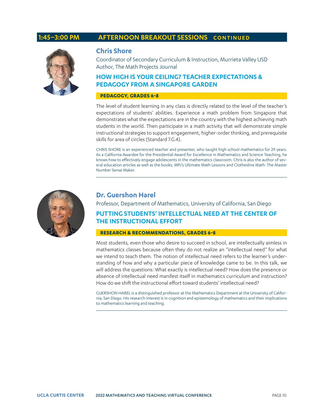#### **1:45–3:00 PM AFTERNOON BREAKOUT SESSIONS CONTINUED**



#### **Chris Shore**

Coordinator of Secondary Curriculum & Instruction, Murrieta Valley USD Author, The Math Projects Journal

#### **HOW HIGH IS YOUR CEILING? TEACHER EXPECTATIONS & PEDAGOGY FROM A SINGAPORE GARDEN**

#### **PEDAGOGY, GRADES 6-8**

The level of student learning in any class is directly related to the level of the teacher's expectations of students' abilities. Experience a math problem from Singapore that demonstrates what the expectations are in the country with the highest achieving math students in the world. Then participate in a math activity that will demonstrate simple instructional strategies to support engagement, higher-order thinking, and prerequisite skills for area of circles (Standard 7.G.4).

CHRIS SHORE is an experienced teacher and presenter, who taught high school mathematics for 29 years. As a California Awardee for the Presidential Award for Excellence in Mathematics and Science Teaching, he knows how to effectively engage adolescents in the mathematics classroom. Chris is also the author of several education articles as well as the books, MPJ's Ultimate Math Lessons and Clothesline Math: The Master Number Sense Maker.



#### **Dr. Guershon Harel**

Professor, Department of Mathematics, University of California, San Diego

#### **PUTTING STUDENTS' INTELLECTUAL NEED AT THE CENTER OF THE INSTRUCTIONAL EFFORT**

#### **RESEARCH & RECOMMENDATIONS, GRADES 6-8**

Most students, even those who desire to succeed in school, are intellectually aimless in mathematics classes because often they do not realize an "intellectual need" for what we intend to teach them. The notion of intellectual need refers to the learner's understanding of how and why a particular piece of knowledge came to be. In this talk, we will address the questions: What exactly is intellectual need? How does the presence or absence of intellectual need manifest itself in mathematics curriculum and instruction? How do we shift the instructional effort toward students' intellectual need?

GUERSHON HAREL is a distinguished professor at the Mathematics Department at the University of California, San Diego. His research interest is in cognition and epistemology of mathematics and their implications to mathematics learning and teaching.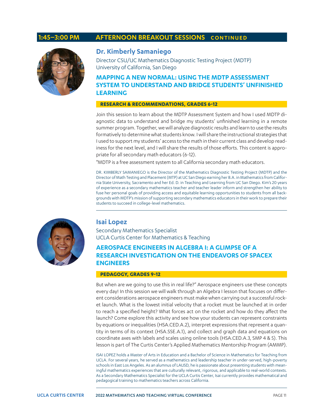#### **1:45–3:00 PM AFTERNOON BREAKOUT SESSIONS CONTINUED**



#### **Dr. Kimberly Samaniego**

Director CSU/UC Mathematics Diagnostic Testing Project (MDTP) University of California, San Diego

#### **MAPPING A NEW NORMAL: USING THE MDTP ASSESSMENT SYSTEM TO UNDERSTAND AND BRIDGE STUDENTS' UNFINISHED LEARNING**

#### **RESEARCH & RECOMMENDATIONS, GRADES 6-12**

Join this session to learn about the MDTP Assessment System and how I used MDTP diagnostic data to understand and bridge my students' unfinished learning in a remote summer program. Together, we will analyze diagnostic results and learn to use the results formatively to determine what students know. I will share the instructional strategies that I used to support my students' access to the math in their current class and develop readiness for the next level, and I will share the results of those efforts. This content is appropriate for all secondary math educators (6-12).

\*MDTP is a free assessment system to all California secondary math educators.

DR. KIMBERLY SAMANIEGO is the Director of the Mathematics Diagnostic Testing Project (MDTP) and the Director of Math Testing and Placement (MTP) at UC San Diego earning her B.A. in Mathematics from California State University, Sacramento and her Ed. D. in Teaching and Learning from UC San Diego. Kim's 20 years of experience as a secondary mathematics teacher and teacher leader inform and strengthen her ability to fuse her personal goals of providing access and equitable learning opportunities to students from all backgrounds with MDTP's mission of supporting secondary mathematics educators in their work to prepare their students to succeed in college-level mathematics.



#### **Isai Lopez**

Secondary Mathematics Specialist UCLA Curtis Center for Mathematics & Teaching

#### **AEROSPACE ENGINEERS IN ALGEBRA I: A GLIMPSE OF A RESEARCH INVESTIGATION ON THE ENDEAVORS OF SPACEX ENGINEERS**

#### **PEDAGOGY, GRADES 9-12**

But when are we going to use this in real life?" Aerospace engineers use these concepts every day! In this session we will walk through an Algebra I lesson that focuses on different considerations aerospace engineers must make when carrying out a successful rocket launch. What is the lowest initial velocity that a rocket must be launched at in order to reach a specified height? What forces act on the rocket and how do they affect the launch? Come explore this activity and see how your students can represent constraints by equations or inequalities (HSA.CED.A.2), interpret expressions that represent a quantity in terms of its context (HSA.SSE.A.1), and collect and graph data and equations on coordinate axes with labels and scales using online tools (HSA.CED.A.3, SMP 4 & 5). This lesson is part of The Curtis Center's Applied Mathematics Mentorship Program (AMMP).

ISAI LOPEZ holds a Master of Arts in Education and a Bachelor of Science in Mathematics for Teaching from UCLA. For several years, he served as a mathematics and leadership teacher in under-served, high-poverty schools in East Los Angeles. As an alumnus of LAUSD, he is passionate about presenting students with meaningful mathematics experiences that are culturally relevant, rigorous, and applicable to real-world contexts. As a Secondary Mathematics Specialist for the UCLA Curtis Center, Isai currently provides mathematical and pedagogical training to mathematics teachers across California.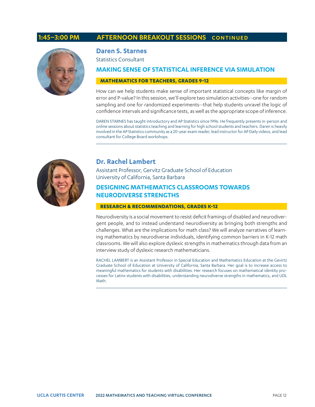#### **1:45–3:00 PM AFTERNOON BREAKOUT SESSIONS CONTINUED**



#### **Daren S. Starnes**

Statistics Consultant

#### **MAKING SENSE OF STATISTICAL INFERENCE VIA SIMULATION**

#### **MATHEMATICS FOR TEACHERS, GRADES 9-12**

How can we help students make sense of important statistical concepts like margin of error and P-value? In this session, we'll explore two simulation activities--one for random sampling and one for randomized experiments--that help students unravel the logic of confidence intervals and significance tests, as well as the appropriate scope of inference.

DAREN STARNES has taught introductory and AP Statistics since 1996. He frequently presents in-person and online sessions about statistics teaching and learning for high school students and teachers. Daren is heavily involved in the AP Statistics community as a 20-year exam reader, lead instructor for AP Daily videos, and lead consultant for College Board workshops.



#### **Dr. Rachel Lambert**

Assistant Professor, Gervitz Graduate School of Education University of California, Santa Barbara

#### **DESIGNING MATHEMATICS CLASSROOMS TOWARDS NEURODIVERSE STRENGTHS**

#### **RESEARCH & RECOMMENDATIONS, GRADES K-12**

Neurodiversity is a social movement to resist deficit framings of disabled and neurodivergent people, and to instead understand neurodiversity as bringing both strengths and challenges. What are the implications for math class? We will analyze narratives of learning mathematics by neurodiverse individuals, identifying common barriers in K-12 math classrooms. We will also explore dyslexic strengths in mathematics through data from an interview study of dyslexic research mathematicians.

RACHEL LAMBERT is an Assistant Professor in Special Education and Mathematics Education at the Gevirtz Graduate School of Education at University of California, Santa Barbara. Her goal is to increase access to meaningful mathematics for students with disabilities. Her research focuses on mathematical identity processes for Latinx students with disabilities, understanding neurodiverse strengths in mathematics, and UDL Math.